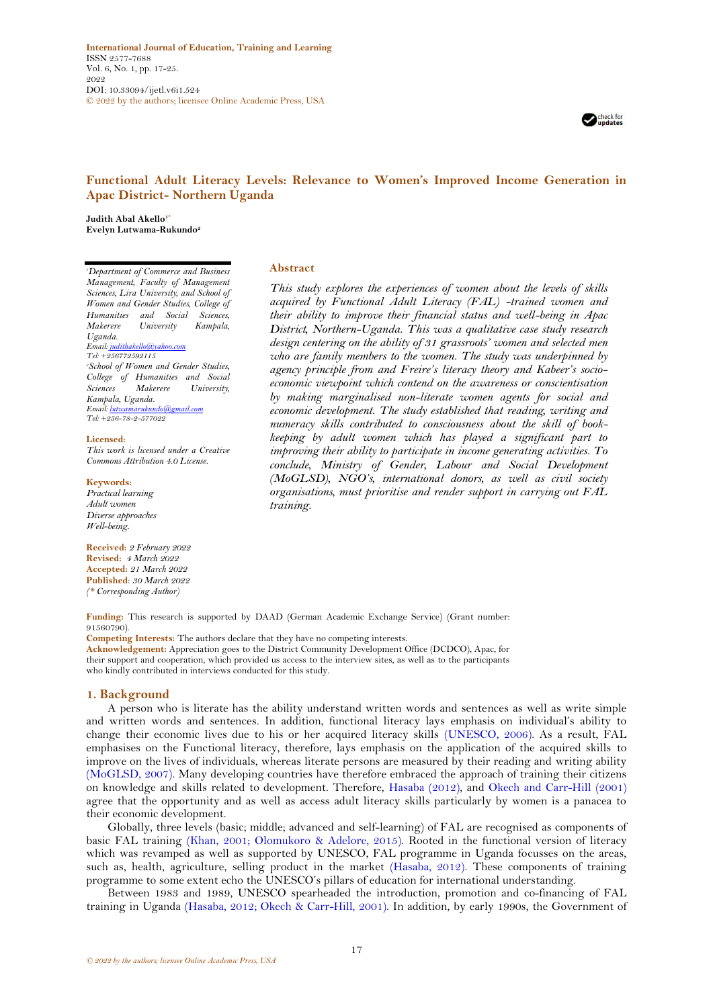**International Journal of Education, Training and Learning** ISSN 2577-7688 Vol. 6, No. 1, pp. 17-25. 2022 DOI: 10.33094/ijetl.v6i1.524 © 2022 by the authors; licensee Online Academic Press, USA



# **Functional Adult Literacy Levels: Relevance to Women's Improved Income Generation in Apac District- Northern Uganda**

**Judith Abal Akello1\* Evelyn Lutwama-Rukundo<sup>2</sup>**

*<sup>1</sup>Department of Commerce and Business Management, Faculty of Management Sciences, Lira University, and School of Women and Gender Studies, College of Humanities and Social Sciences, Makerere University Uganda. Email[: judithakello@yahoo.com](mailto:judithakello@yahoo.com) Tel: +256772592115 <sup>2</sup>School of Women and Gender Studies, College of Humanities and Social Sciences Makerere University, Kampala, Uganda. Email[: lutwamarukundo@gmail.com](mailto:lutwamarukundo@gmail.com) Tel: +256-78-2-577022*

#### **Licensed:**

*This work is licensed under a Creative Commons Attribution 4.0 License.* 

#### **Keywords:**

*Practical learning Adult women Diverse approaches Well-being.*

**Received:** *2 February 2022* **Revised:** *4 March 2022* **Accepted:** *21 March 2022* **Published**: *30 March 2022 (\* Corresponding Author)*

### **Abstract**

*This study explores the experiences of women about the levels of skills acquired by Functional Adult Literacy (FAL) -trained women and their ability to improve their financial status and well-being in Apac District, Northern-Uganda. This was a qualitative case study research design centering on the ability of 31 grassroots' women and selected men who are family members to the women. The study was underpinned by agency principle from and Freire's literacy theory and Kabeer's socioeconomic viewpoint which contend on the awareness or conscientisation by making marginalised non-literate women agents for social and economic development. The study established that reading, writing and numeracy skills contributed to consciousness about the skill of bookkeeping by adult women which has played a significant part to improving their ability to participate in income generating activities. To conclude, Ministry of Gender, Labour and Social Development (MoGLSD), NGO's, international donors, as well as civil society organisations, must prioritise and render support in carrying out FAL training.*

**Funding:** This research is supported by DAAD (German Academic Exchange Service) (Grant number: 91560790).

**Competing Interests:** The authors declare that they have no competing interests. **Acknowledgement:** Appreciation goes to the District Community Development Office (DCDCO), Apac, for their support and cooperation, which provided us access to the interview sites, as well as to the participants who kindly contributed in interviews conducted for this study.

#### **1. Background**

A person who is literate has the ability understand written words and sentences as well as write simple and written words and sentences. In addition, functional literacy lays emphasis on individual's ability to change their economic lives due to his or her acquired literacy skills [\(UNESCO, 2006\)](#page-8-0). As a result, FAL emphasises on the Functional literacy, therefore, lays emphasis on the application of the acquired skills to improve on the lives of individuals, whereas literate persons are measured by their reading and writing ability [\(MoGLSD, 2007\)](#page-7-0). Many developing countries have therefore embraced the approach of training their citizens on knowledge and skills related to development. Therefore, [Hasaba \(2012\)](#page-7-1), and [Okech and Carr-Hill \(2001\)](#page-7-2) agree that the opportunity and as well as access adult literacy skills particularly by women is a panacea to their economic development.

Globally, three levels (basic; middle; advanced and self-learning) of FAL are recognised as components of basic FAL training [\(Khan, 2001;](#page-7-3) [Olomukoro & Adelore, 2015\)](#page-7-4). Rooted in the functional version of literacy which was revamped as well as supported by UNESCO, FAL programme in Uganda focusses on the areas, such as, health, agriculture, selling product in the market [\(Hasaba, 2012\)](#page-7-1). These components of training programme to some extent echo the UNESCO's pillars of education for international understanding.

Between 1983 and 1989, UNESCO spearheaded the introduction, promotion and co-financing of FAL training in Uganda [\(Hasaba, 2012;](#page-7-1) [Okech & Carr-Hill, 2001\)](#page-7-2). In addition, by early 1990s, the Government of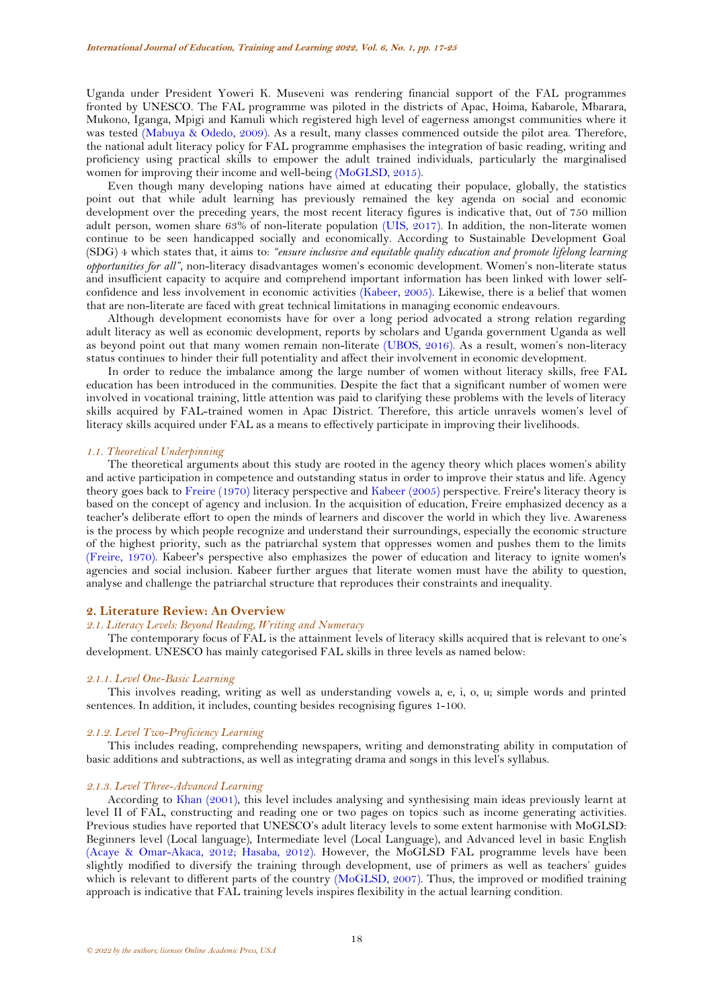Uganda under President Yoweri K. Museveni was rendering financial support of the FAL programmes fronted by UNESCO. The FAL programme was piloted in the districts of Apac, Hoima, Kabarole, Mbarara, Mukono, Iganga, Mpigi and Kamuli which registered high level of eagerness amongst communities where it was tested [\(Mabuya & Odedo, 2009\)](#page-7-5). As a result, many classes commenced outside the pilot area. Therefore, the national adult literacy policy for FAL programme emphasises the integration of basic reading, writing and proficiency using practical skills to empower the adult trained individuals, particularly the marginalised women for improving their income and well-being [\(MoGLSD, 2015\)](#page-7-6).

Even though many developing nations have aimed at educating their populace, globally, the statistics point out that while adult learning has previously remained the key agenda on social and economic development over the preceding years, the most recent literacy figures is indicative that, 0ut of 750 million adult person, women share 63% of non-literate population [\(UIS, 2017\)](#page-8-1). In addition, the non-literate women continue to be seen handicapped socially and economically. According to Sustainable Development Goal (SDG) 4 which states that, it aims to: *"ensure inclusive and equitable quality education and promote lifelong learning opportunities for all"*, non-literacy disadvantages women's economic development. Women's non-literate status and insufficient capacity to acquire and comprehend important information has been linked with lower selfconfidence and less involvement in economic activities [\(Kabeer, 2005\)](#page-7-7). Likewise, there is a belief that women that are non-literate are faced with great technical limitations in managing economic endeavours.

Although development economists have for over a long period advocated a strong relation regarding adult literacy as well as economic development, reports by scholars and Uganda government Uganda as well as beyond point out that many women remain non-literate [\(UBOS, 2016\)](#page-8-2). As a result, women's non-literacy status continues to hinder their full potentiality and affect their involvement in economic development.

In order to reduce the imbalance among the large number of women without literacy skills, free FAL education has been introduced in the communities. Despite the fact that a significant number of women were involved in vocational training, little attention was paid to clarifying these problems with the levels of literacy skills acquired by FAL-trained women in Apac District. Therefore, this article unravels women's level of literacy skills acquired under FAL as a means to effectively participate in improving their livelihoods.

### *1.1. Theoretical Underpinning*

The theoretical arguments about this study are rooted in the agency theory which places women's ability and active participation in competence and outstanding status in order to improve their status and life. Agency theory goes back to [Freire](#page-7-8) (1970) literacy perspective and [Kabeer \(2005\)](#page-7-7) perspective. Freire's literacy theory is based on the concept of agency and inclusion. In the acquisition of education, Freire emphasized decency as a teacher's deliberate effort to open the minds of learners and discover the world in which they live. Awareness is the process by which people recognize and understand their surroundings, especially the economic structure of the highest priority, such as the patriarchal system that oppresses women and pushes them to the limits [\(Freire, 1970\)](#page-7-8). Kabeer's perspective also emphasizes the power of education and literacy to ignite women's agencies and social inclusion. Kabeer further argues that literate women must have the ability to question, analyse and challenge the patriarchal structure that reproduces their constraints and inequality.

## **2. Literature Review: An Overview**

### *2.1. Literacy Levels: Beyond Reading, Writing and Numeracy*

The contemporary focus of FAL is the attainment levels of literacy skills acquired that is relevant to one's development. UNESCO has mainly categorised FAL skills in three levels as named below:

## *2.1.1. Level One-Basic Learning*

This involves reading, writing as well as understanding vowels a, e, i, o, u; simple words and printed sentences. In addition, it includes, counting besides recognising figures 1-100.

## *2.1.2. Level Two-Proficiency Learning*

This includes reading, comprehending newspapers, writing and demonstrating ability in computation of basic additions and subtractions, as well as integrating drama and songs in this level's syllabus.

#### *2.1.3. Level Three-Advanced Learning*

According to [Khan \(2001\)](#page-7-3), this level includes analysing and synthesising main ideas previously learnt at level II of FAL, constructing and reading one or two pages on topics such as income generating activities. Previous studies have reported that UNESCO's adult literacy levels to some extent harmonise with MoGLSD: Beginners level (Local language), Intermediate level (Local Language), and Advanced level in basic English [\(Acaye & Omar-Akaca, 2012;](#page-7-9) [Hasaba, 2012\)](#page-7-1). However, the MoGLSD FAL programme levels have been slightly modified to diversify the training through development, use of primers as well as teachers' guides which is relevant to different parts of the country [\(MoGLSD, 2007\)](#page-7-0). Thus, the improved or modified training approach is indicative that FAL training levels inspires flexibility in the actual learning condition.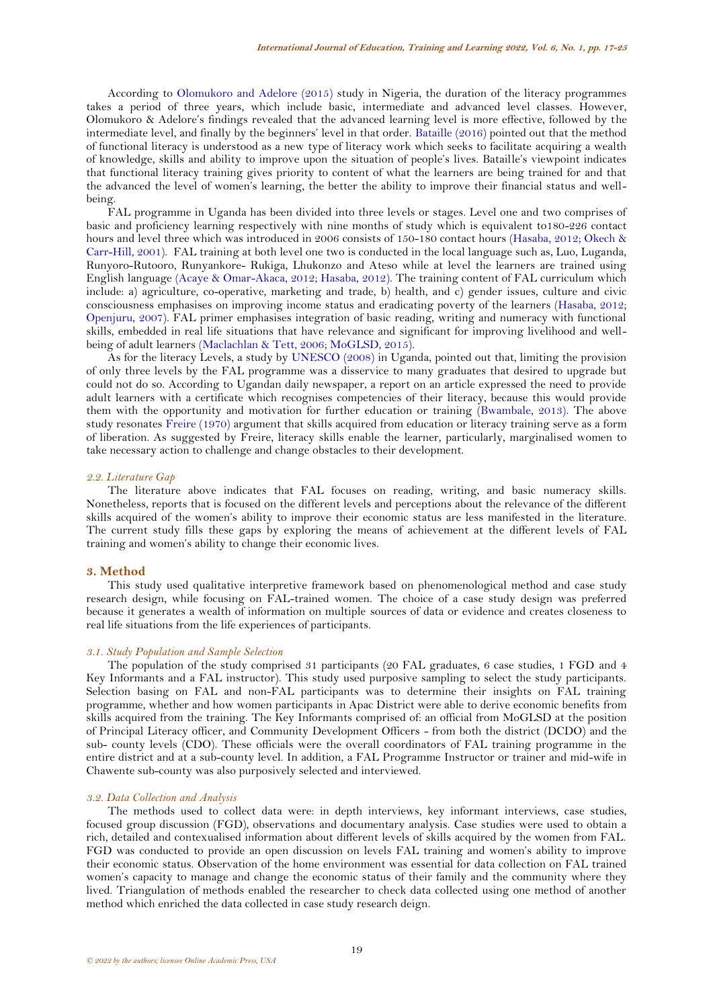According to [Olomukoro and Adelore \(2015\)](#page-7-4) study in Nigeria, the duration of the literacy programmes takes a period of three years, which include basic, intermediate and advanced level classes. However, Olomukoro & Adelore's findings revealed that the advanced learning level is more effective, followed by the intermediate level, and finally by the beginners' level in that order. [Bataille \(2016\)](#page-7-10) pointed out that the method of functional literacy is understood as a new type of literacy work which seeks to facilitate acquiring a wealth of knowledge, skills and ability to improve upon the situation of people's lives. Bataille's viewpoint indicates that functional literacy training gives priority to content of what the learners are being trained for and that the advanced the level of women's learning, the better the ability to improve their financial status and wellbeing.

FAL programme in Uganda has been divided into three levels or stages. Level one and two comprises of basic and proficiency learning respectively with nine months of study which is equivalent to180-226 contact hours and level three which was introduced in 2006 consists of 150-180 contact hours [\(Hasaba, 2012;](#page-7-1) [Okech &](#page-7-2)  [Carr-Hill, 2001\)](#page-7-2). FAL training at both level one two is conducted in the local language such as, Luo, Luganda, Runyoro-Rutooro, Runyankore- Rukiga, Lhukonzo and Ateso while at level the learners are trained using English language [\(Acaye & Omar-Akaca, 2012;](#page-7-9) [Hasaba, 2012\)](#page-7-1). The training content of FAL curriculum which include: a) agriculture, co-operative, marketing and trade, b) health, and c) gender issues, culture and civic consciousness emphasises on improving income status and eradicating poverty of the learners [\(Hasaba, 2012;](#page-7-1) [Openjuru, 2007\)](#page-8-3). FAL primer emphasises integration of basic reading, writing and numeracy with functional skills, embedded in real life situations that have relevance and significant for improving livelihood and wellbeing of adult learners [\(Maclachlan & Tett, 2006;](#page-7-11) [MoGLSD, 2015\)](#page-7-6).

As for the literacy Levels, a study by [UNESCO \(2008\)](#page-8-4) in Uganda, pointed out that, limiting the provision of only three levels by the FAL programme was a disservice to many graduates that desired to upgrade but could not do so. According to Ugandan daily newspaper, a report on an article expressed the need to provide adult learners with a certificate which recognises competencies of their literacy, because this would provide them with the opportunity and motivation for further education or training [\(Bwambale, 2013\)](#page-7-12). The above study resonates [Freire](#page-7-8) (1970) argument that skills acquired from education or literacy training serve as a form of liberation. As suggested by Freire, literacy skills enable the learner, particularly, marginalised women to take necessary action to challenge and change obstacles to their development.

### *2.2. Literature Gap*

The literature above indicates that FAL focuses on reading, writing, and basic numeracy skills. Nonetheless, reports that is focused on the different levels and perceptions about the relevance of the different skills acquired of the women's ability to improve their economic status are less manifested in the literature. The current study fills these gaps by exploring the means of achievement at the different levels of FAL training and women's ability to change their economic lives.

### **3. Method**

This study used qualitative interpretive framework based on phenomenological method and case study research design, while focusing on FAL-trained women. The choice of a case study design was preferred because it generates a wealth of information on multiple sources of data or evidence and creates closeness to real life situations from the life experiences of participants.

## *3.1. Study Population and Sample Selection*

The population of the study comprised 31 participants (20 FAL graduates, 6 case studies, 1 FGD and 4 Key Informants and a FAL instructor). This study used purposive sampling to select the study participants. Selection basing on FAL and non-FAL participants was to determine their insights on FAL training programme, whether and how women participants in Apac District were able to derive economic benefits from skills acquired from the training. The Key Informants comprised of: an official from MoGLSD at the position of Principal Literacy officer, and Community Development Officers - from both the district (DCDO) and the sub- county levels (CDO). These officials were the overall coordinators of FAL training programme in the entire district and at a sub-county level. In addition, a FAL Programme Instructor or trainer and mid-wife in Chawente sub-county was also purposively selected and interviewed.

### *3.2. Data Collection and Analysis*

The methods used to collect data were: in depth interviews, key informant interviews, case studies, focused group discussion (FGD), observations and documentary analysis. Case studies were used to obtain a rich, detailed and contexualised information about different levels of skills acquired by the women from FAL. FGD was conducted to provide an open discussion on levels FAL training and women's ability to improve their economic status. Observation of the home environment was essential for data collection on FAL trained women's capacity to manage and change the economic status of their family and the community where they lived. Triangulation of methods enabled the researcher to check data collected using one method of another method which enriched the data collected in case study research deign.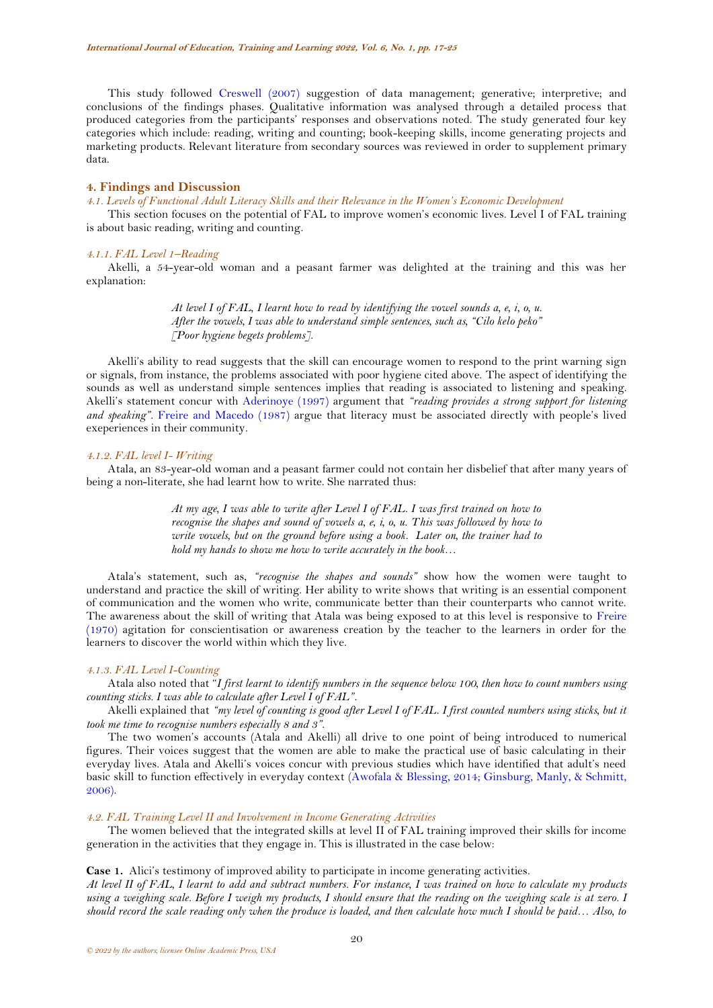This study followed [Creswell \(2007\)](#page-7-13) suggestion of data management; generative; interpretive; and conclusions of the findings phases. Qualitative information was analysed through a detailed process that produced categories from the participants' responses and observations noted. The study generated four key categories which include: reading, writing and counting; book-keeping skills, income generating projects and marketing products. Relevant literature from secondary sources was reviewed in order to supplement primary data.

#### **4. Findings and Discussion**

*4.1. Levels of Functional Adult Literacy Skills and their Relevance in the Women's Economic Development*

This section focuses on the potential of FAL to improve women's economic lives. Level I of FAL training is about basic reading, writing and counting.

### *4.1.1. FAL Level 1–Reading*

Akelli, a 54-year-old woman and a peasant farmer was delighted at the training and this was her explanation:

> *At level I of FAL, I learnt how to read by identifying the vowel sounds a, e, i, o, u. After the vowels, I was able to understand simple sentences, such as, "Cilo kelo peko" [Poor hygiene begets problems]*.

Akelli's ability to read suggests that the skill can encourage women to respond to the print warning sign or signals, from instance, the problems associated with poor hygiene cited above. The aspect of identifying the sounds as well as understand simple sentences implies that reading is associated to listening and speaking. Akelli's statement concur with [Aderinoye \(1997\)](#page-7-14) argument that *"reading provides a strong support for listening and speaking"*. [Freire and Macedo \(1987\)](#page-7-15) argue that literacy must be associated directly with people's lived exeperiences in their community.

### *4.1.2. FAL level I- Writing*

Atala, an 83-year-old woman and a peasant farmer could not contain her disbelief that after many years of being a non-literate, she had learnt how to write. She narrated thus:

> *At my age, I was able to write after Level I of FAL. I was first trained on how to recognise the shapes and sound of vowels a, e, i, o, u. This was followed by how to write vowels, but on the ground before using a book. Later on, the trainer had to hold my hands to show me how to write accurately in the book…*

Atala's statement, such as, *"recognise the shapes and sounds"* show how the women were taught to understand and practice the skill of writing. Her ability to write shows that writing is an essential component of communication and the women who write, communicate better than their counterparts who cannot write. The awareness about the skill of writing that Atala was being exposed to at this level is responsive to [Freire](#page-7-8) [\(1970\)](#page-7-8) agitation for conscientisation or awareness creation by the teacher to the learners in order for the learners to discover the world within which they live.

### *4.1.3. FAL Level I-Counting*

Atala also noted that "*I first learnt to identify numbers in the sequence below 100, then how to count numbers using counting sticks. I was able to calculate after Level I of FAL"*.

Akelli explained that *"my level of counting is good after Level I of FAL. I first counted numbers using sticks, but it took me time to recognise numbers especially 8 and 3"*.

The two women's accounts (Atala and Akelli) all drive to one point of being introduced to numerical figures. Their voices suggest that the women are able to make the practical use of basic calculating in their everyday lives. Atala and Akelli's voices concur with previous studies which have identified that adult's need basic skill to function effectively in everyday context [\(Awofala & Blessing, 2014;](#page-7-16) [Ginsburg, Manly, & Schmitt,](#page-7-17)  [2006\)](#page-7-17).

### *4.2. FAL Training Level II and Involvement in Income Generating Activities*

The women believed that the integrated skills at level II of FAL training improved their skills for income generation in the activities that they engage in. This is illustrated in the case below:

**Case 1.** Alici's testimony of improved ability to participate in income generating activities.

*At level II of FAL, I learnt to add and subtract numbers. For instance, I was trained on how to calculate my products using a weighing scale. Before I weigh my products, I should ensure that the reading on the weighing scale is at zero. I should record the scale reading only when the produce is loaded, and then calculate how much I should be paid… Also, to*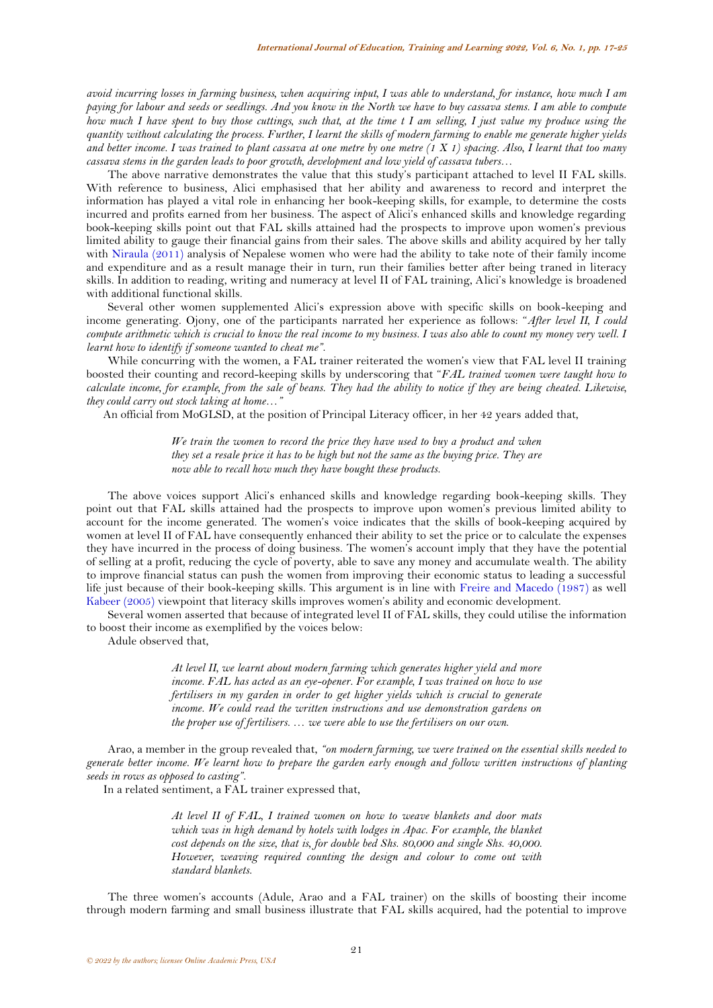*avoid incurring losses in farming business, when acquiring input, I was able to understand, for instance, how much I am paying for labour and seeds or seedlings. And you know in the North we have to buy cassava stems. I am able to compute how much I have spent to buy those cuttings, such that, at the time t I am selling, I just value my produce using the quantity without calculating the process. Further, I learnt the skills of modern farming to enable me generate higher yields and better income. I was trained to plant cassava at one metre by one metre (1 X 1) spacing. Also, I learnt that too many cassava stems in the garden leads to poor growth, development and low yield of cassava tubers…*

The above narrative demonstrates the value that this study's participant attached to level II FAL skills. With reference to business, Alici emphasised that her ability and awareness to record and interpret the information has played a vital role in enhancing her book-keeping skills, for example, to determine the costs incurred and profits earned from her business. The aspect of Alici's enhanced skills and knowledge regarding book-keeping skills point out that FAL skills attained had the prospects to improve upon women's previous limited ability to gauge their financial gains from their sales. The above skills and ability acquired by her tally with [Niraula \(2011\)](#page-7-18) analysis of Nepalese women who were had the ability to take note of their family income and expenditure and as a result manage their in turn, run their families better after being traned in literacy skills. In addition to reading, writing and numeracy at level II of FAL training, Alici's knowledge is broadened with additional functional skills.

Several other women supplemented Alici's expression above with specific skills on book-keeping and income generating. Ojony, one of the participants narrated her experience as follows: "*After level II, I could compute arithmetic which is crucial to know the real income to my business. I was also able to count my money very well. I learnt how to identify if someone wanted to cheat me"*.

While concurring with the women, a FAL trainer reiterated the women's view that FAL level II training boosted their counting and record-keeping skills by underscoring that "*FAL trained women were taught how to calculate income, for example, from the sale of beans. They had the ability to notice if they are being cheated. Likewise, they could carry out stock taking at home…"* 

An official from MoGLSD, at the position of Principal Literacy officer, in her 42 years added that,

*We train the women to record the price they have used to buy a product and when they set a resale price it has to be high but not the same as the buying price. They are now able to recall how much they have bought these products*.

The above voices support Alici's enhanced skills and knowledge regarding book-keeping skills. They point out that FAL skills attained had the prospects to improve upon women's previous limited ability to account for the income generated. The women's voice indicates that the skills of book-keeping acquired by women at level II of FAL have consequently enhanced their ability to set the price or to calculate the expenses they have incurred in the process of doing business. The women's account imply that they have the potential of selling at a profit, reducing the cycle of poverty, able to save any money and accumulate wealth. The ability to improve financial status can push the women from improving their economic status to leading a successful life just because of their book-keeping skills. This argument is in line with [Freire and Macedo \(1987\)](#page-7-15) as well [Kabeer \(2005\)](#page-7-7) viewpoint that literacy skills improves women's ability and economic development.

Several women asserted that because of integrated level II of FAL skills, they could utilise the information to boost their income as exemplified by the voices below:

Adule observed that,

*At level II, we learnt about modern farming which generates higher yield and more income. FAL has acted as an eye-opener. For example, I was trained on how to use fertilisers in my garden in order to get higher yields which is crucial to generate income. We could read the written instructions and use demonstration gardens on the proper use of fertilisers. … we were able to use the fertilisers on our own*.

Arao, a member in the group revealed that, *"on modern farming, we were trained on the essential skills needed to generate better income. We learnt how to prepare the garden early enough and follow written instructions of planting seeds in rows as opposed to casting"*.

In a related sentiment, a FAL trainer expressed that,

*At level II of FAL, I trained women on how to weave blankets and door mats*  which was in high demand by hotels with lodges in Apac. For example, the blanket *cost depends on the size, that is, for double bed Shs. 80,000 and single Shs. 40,000. However, weaving required counting the design and colour to come out with standard blankets.*

The three women's accounts (Adule, Arao and a FAL trainer) on the skills of boosting their income through modern farming and small business illustrate that FAL skills acquired, had the potential to improve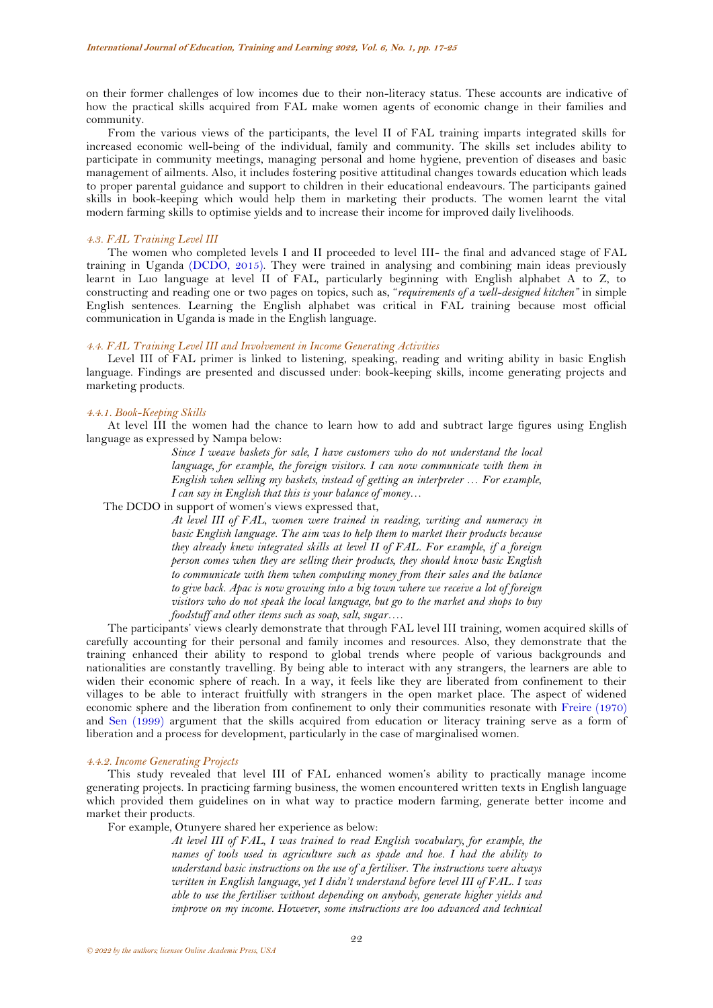on their former challenges of low incomes due to their non-literacy status. These accounts are indicative of how the practical skills acquired from FAL make women agents of economic change in their families and community.

From the various views of the participants, the level II of FAL training imparts integrated skills for increased economic well-being of the individual, family and community. The skills set includes ability to participate in community meetings, managing personal and home hygiene, prevention of diseases and basic management of ailments. Also, it includes fostering positive attitudinal changes towards education which leads to proper parental guidance and support to children in their educational endeavours. The participants gained skills in book-keeping which would help them in marketing their products. The women learnt the vital modern farming skills to optimise yields and to increase their income for improved daily livelihoods.

#### *4.3. FAL Training Level III*

The women who completed levels I and II proceeded to level III- the final and advanced stage of FAL training in Uganda [\(DCDO, 2015\)](#page-7-19). They were trained in analysing and combining main ideas previously learnt in Luo language at level II of FAL, particularly beginning with English alphabet A to Z, to constructing and reading one or two pages on topics, such as, "*requirements of a well-designed kitchen"* in simple English sentences. Learning the English alphabet was critical in FAL training because most official communication in Uganda is made in the English language.

### *4.4. FAL Training Level III and Involvement in Income Generating Activities*

Level III of FAL primer is linked to listening, speaking, reading and writing ability in basic English language. Findings are presented and discussed under: book-keeping skills, income generating projects and marketing products.

### *4.4.1. Book-Keeping Skills*

At level III the women had the chance to learn how to add and subtract large figures using English language as expressed by Nampa below:

> *Since I weave baskets for sale, I have customers who do not understand the local language, for example, the foreign visitors. I can now communicate with them in English when selling my baskets, instead of getting an interpreter … For example, I can say in English that this is your balance of money…*

The DCDO in support of women's views expressed that,

*At level III of FAL, women were trained in reading, writing and numeracy in basic English language. The aim was to help them to market their products because they already knew integrated skills at level II of FAL. For example, if a foreign person comes when they are selling their products, they should know basic English to communicate with them when computing money from their sales and the balance to give back. Apac is now growing into a big town where we receive a lot of foreign visitors who do not speak the local language, but go to the market and shops to buy foodstuff and other items such as soap, salt, sugar….*

The participants' views clearly demonstrate that through FAL level III training, women acquired skills of carefully accounting for their personal and family incomes and resources. Also, they demonstrate that the training enhanced their ability to respond to global trends where people of various backgrounds and nationalities are constantly travelling. By being able to interact with any strangers, the learners are able to widen their economic sphere of reach. In a way, it feels like they are liberated from confinement to their villages to be able to interact fruitfully with strangers in the open market place. The aspect of widened economic sphere and the liberation from confinement to only their communities resonate with [Freire](#page-7-8) (1970) and [Sen \(1999\)](#page-8-5) argument that the skills acquired from education or literacy training serve as a form of liberation and a process for development, particularly in the case of marginalised women.

#### *4.4.2. Income Generating Projects*

This study revealed that level III of FAL enhanced women's ability to practically manage income generating projects. In practicing farming business, the women encountered written texts in English language which provided them guidelines on in what way to practice modern farming, generate better income and market their products.

For example, Otunyere shared her experience as below:

*At level III of FAL, I was trained to read English vocabulary, for example, the names of tools used in agriculture such as spade and hoe. I had the ability to understand basic instructions on the use of a fertiliser. The instructions were always written in English language, yet I didn't understand before level III of FAL. I was able to use the fertiliser without depending on anybody, generate higher yields and improve on my income. However, some instructions are too advanced and technical*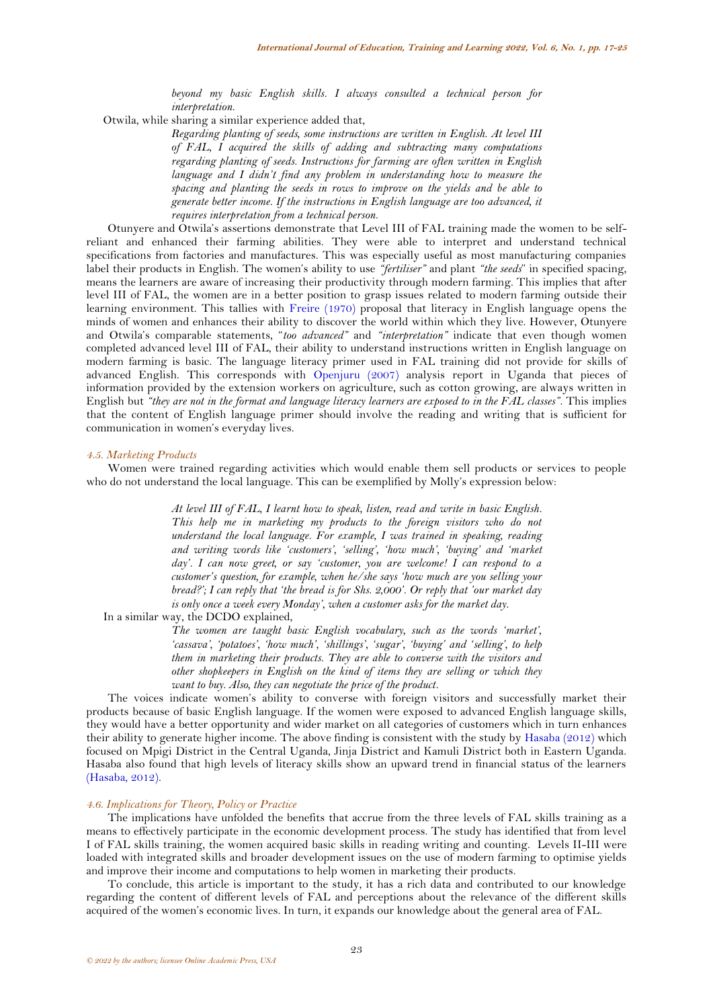*beyond my basic English skills. I always consulted a technical person for interpretation*.

Otwila, while sharing a similar experience added that,

*Regarding planting of seeds, some instructions are written in English. At level III of FAL, I acquired the skills of adding and subtracting many computations regarding planting of seeds. Instructions for farming are often written in English language and I didn't find any problem in understanding how to measure the spacing and planting the seeds in rows to improve on the yields and be able to generate better income. If the instructions in English language are too advanced, it requires interpretation from a technical person*.

Otunyere and Otwila's assertions demonstrate that Level III of FAL training made the women to be selfreliant and enhanced their farming abilities. They were able to interpret and understand technical specifications from factories and manufactures. This was especially useful as most manufacturing companies label their products in English. The women's ability to use *"fertiliser"* and plant *"the seeds*" in specified spacing, means the learners are aware of increasing their productivity through modern farming. This implies that after level III of FAL, the women are in a better position to grasp issues related to modern farming outside their learning environment. This tallies with [Freire](#page-7-8) (1970) proposal that literacy in English language opens the minds of women and enhances their ability to discover the world within which they live. However, Otunyere and Otwila's comparable statements, "*too advanced"* and *"interpretation"* indicate that even though women completed advanced level III of FAL, their ability to understand instructions written in English language on modern farming is basic. The language literacy primer used in FAL training did not provide for skills of advanced English. This corresponds with [Openjuru \(2007\)](#page-8-3) analysis report in Uganda that pieces of information provided by the extension workers on agriculture, such as cotton growing, are always written in English but *"they are not in the format and language literacy learners are exposed to in the FAL classes"*. This implies that the content of English language primer should involve the reading and writing that is sufficient for communication in women's everyday lives.

#### *4.5. Marketing Products*

Women were trained regarding activities which would enable them sell products or services to people who do not understand the local language. This can be exemplified by Molly's expression below:

> *At level III of FAL, I learnt how to speak, listen, read and write in basic English. This help me in marketing my products to the foreign visitors who do not understand the local language. For example, I was trained in speaking, reading and writing words like 'customers', 'selling', 'how much', 'buying' and 'market day'. I can now greet, or say 'customer, you are welcome! I can respond to a customer's question, for example, when he/she says 'how much are you selling your bread?'; I can reply that 'the bread is for Shs. 2,000'. Or reply that 'our market day is only once a week every Monday', when a customer asks for the market day.*

In a similar way, the DCDO explained,

*The women are taught basic English vocabulary, such as the words 'market', 'cassava', 'potatoes', 'how much', 'shillings', 'sugar', 'buying' and 'selling', to help them in marketing their products. They are able to converse with the visitors and other shopkeepers in English on the kind of items they are selling or which they want to buy. Also, they can negotiate the price of the product.*

The voices indicate women's ability to converse with foreign visitors and successfully market their products because of basic English language. If the women were exposed to advanced English language skills, they would have a better opportunity and wider market on all categories of customers which in turn enhances their ability to generate higher income. The above finding is consistent with the study by [Hasaba \(2012\)](#page-7-1) which focused on Mpigi District in the Central Uganda, Jinja District and Kamuli District both in Eastern Uganda. Hasaba also found that high levels of literacy skills show an upward trend in financial status of the learners [\(Hasaba, 2012\)](#page-7-1).

# *4.6. Implications for Theory, Policy or Practice*

The implications have unfolded the benefits that accrue from the three levels of FAL skills training as a means to effectively participate in the economic development process. The study has identified that from level I of FAL skills training, the women acquired basic skills in reading writing and counting. Levels II-III were loaded with integrated skills and broader development issues on the use of modern farming to optimise yields and improve their income and computations to help women in marketing their products.

To conclude, this article is important to the study, it has a rich data and contributed to our knowledge regarding the content of different levels of FAL and perceptions about the relevance of the different skills acquired of the women's economic lives. In turn, it expands our knowledge about the general area of FAL.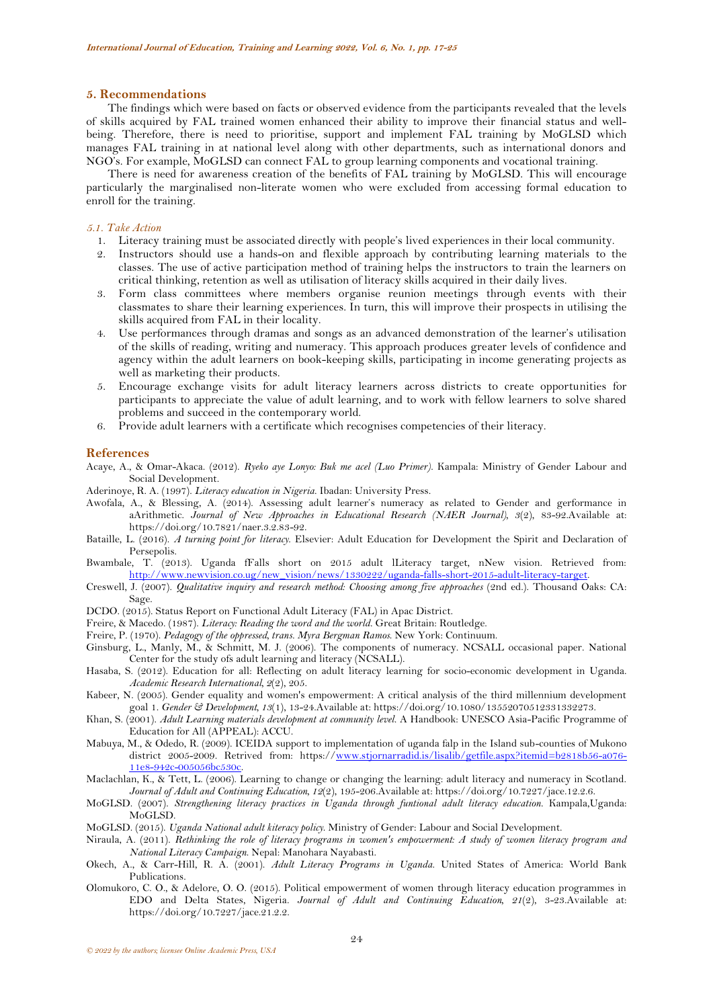### **5. Recommendations**

The findings which were based on facts or observed evidence from the participants revealed that the levels of skills acquired by FAL trained women enhanced their ability to improve their financial status and wellbeing. Therefore, there is need to prioritise, support and implement FAL training by MoGLSD which manages FAL training in at national level along with other departments, such as international donors and NGO's. For example, MoGLSD can connect FAL to group learning components and vocational training.

There is need for awareness creation of the benefits of FAL training by MoGLSD. This will encourage particularly the marginalised non-literate women who were excluded from accessing formal education to enroll for the training.

### *5.1. Take Action*

- 1. Literacy training must be associated directly with people's lived experiences in their local community.
- 2. Instructors should use a hands-on and flexible approach by contributing learning materials to the classes. The use of active participation method of training helps the instructors to train the learners on critical thinking, retention as well as utilisation of literacy skills acquired in their daily lives.
- 3. Form class committees where members organise reunion meetings through events with their classmates to share their learning experiences. In turn, this will improve their prospects in utilising the skills acquired from FAL in their locality.
- 4. Use performances through dramas and songs as an advanced demonstration of the learner's utilisation of the skills of reading, writing and numeracy. This approach produces greater levels of confidence and agency within the adult learners on book-keeping skills, participating in income generating projects as well as marketing their products.
- 5. Encourage exchange visits for adult literacy learners across districts to create opportunities for participants to appreciate the value of adult learning, and to work with fellow learners to solve shared problems and succeed in the contemporary world.
- 6. Provide adult learners with a certificate which recognises competencies of their literacy.

#### **References**

- <span id="page-7-9"></span>Acaye, A., & Omar-Akaca. (2012). *Ryeko aye Lonyo: Buk me acel (Luo Primer)*. Kampala: Ministry of Gender Labour and Social Development.
- <span id="page-7-14"></span>Aderinoye, R. A. (1997). *Literacy education in Nigeria*. Ibadan: University Press.
- <span id="page-7-16"></span>Awofala, A., & Blessing, A. (2014). Assessing adult learner's numeracy as related to Gender and gerformance in aArithmetic. *Journal of New Approaches in Educational Research (NAER Journal), 3*(2), 83-92.Available at: https://doi.org/10.7821/naer.3.2.83-92.
- <span id="page-7-10"></span>Bataille, L. (2016). *A turning point for literacy*. Elsevier: Adult Education for Development the Spirit and Declaration of Persepolis.
- <span id="page-7-12"></span>Bwambale, T. (2013). Uganda fFalls short on 2015 adult lLiteracy target, nNew vision. Retrieved from: [http://www.newvision.co.ug/new\\_vision/news/1330222/uganda-falls-short-2015-adult-literacy-target.](http://www.newvision.co.ug/new_vision/news/1330222/uganda-falls-short-2015-adult-literacy-target)
- <span id="page-7-13"></span>Creswell, J. (2007). *Qualitative inquiry and research method: Choosing among five approaches* (2nd ed.). Thousand Oaks: CA: Sage.
- <span id="page-7-19"></span>DCDO. (2015). Status Report on Functional Adult Literacy (FAL) in Apac District.
- <span id="page-7-15"></span>Freire, & Macedo. (1987). *Literacy: Reading the word and the world*. Great Britain: Routledge.
- <span id="page-7-8"></span>Freire, P. (1970). *Pedagogy of the oppressed, trans. Myra Bergman Ramos*. New York: Continuum.
- <span id="page-7-17"></span>Ginsburg, L., Manly, M., & Schmitt, M. J. (2006). The components of numeracy. NCSALL occasional paper. National Center for the study ofs adult learning and literacy (NCSALL).
- <span id="page-7-1"></span>Hasaba, S. (2012). Education for all: Reflecting on adult literacy learning for socio-economic development in Uganda. *Academic Research International, 2*(2), 205.
- <span id="page-7-7"></span>Kabeer, N. (2005). Gender equality and women's empowerment: A critical analysis of the third millennium development goal 1. *Gender & Development, 13*(1), 13-24.Available at: https://doi.org/10.1080/13552070512331332273.
- <span id="page-7-3"></span>Khan, S. (2001). *Adult Learning materials development at community level*. A Handbook: UNESCO Asia-Pacific Programme of Education for All (APPEAL): ACCU.
- <span id="page-7-5"></span>Mabuya, M., & Odedo, R. (2009). ICEIDA support to implementation of uganda falp in the Island sub-counties of Mukono district 2005-2009. Retrived from: https:/[/www.stjornarradid.is/lisalib/getfile.aspx?itemid=b2818b56-a076-](http://www.stjornarradid.is/lisalib/getfile.aspx?itemid=b2818b56-a076-11e8-942c-005056bc530c) [11e8-942c-005056bc530c.](http://www.stjornarradid.is/lisalib/getfile.aspx?itemid=b2818b56-a076-11e8-942c-005056bc530c)
- <span id="page-7-11"></span>Maclachlan, K., & Tett, L. (2006). Learning to change or changing the learning: adult literacy and numeracy in Scotland. *Journal of Adult and Continuing Education, 12*(2), 195-206.Available at: https://doi.org/10.7227/jace.12.2.6.
- <span id="page-7-0"></span>MoGLSD. (2007). *Strengthening literacy practices in Uganda through funtional adult literacy education*. Kampala,Uganda: MoGLSD.
- <span id="page-7-6"></span>MoGLSD. (2015). *Uganda National adult kiteracy policy*. Ministry of Gender: Labour and Social Development.
- <span id="page-7-18"></span>Niraula, A. (2011). *Rethinking the role of literacy programs in women's empowerment: A study of women literacy program and National Literacy Campaign*. Nepal: Manohara Nayabasti.
- <span id="page-7-2"></span>Okech, A., & Carr-Hill, R. A. (2001). *Adult Literacy Programs in Uganda*. United States of America: World Bank Publications.
- <span id="page-7-4"></span>Olomukoro, C. O., & Adelore, O. O. (2015). Political empowerment of women through literacy education programmes in EDO and Delta States, Nigeria. *Journal of Adult and Continuing Education, 21*(2), 3-23.Available at: https://doi.org/10.7227/jace.21.2.2.